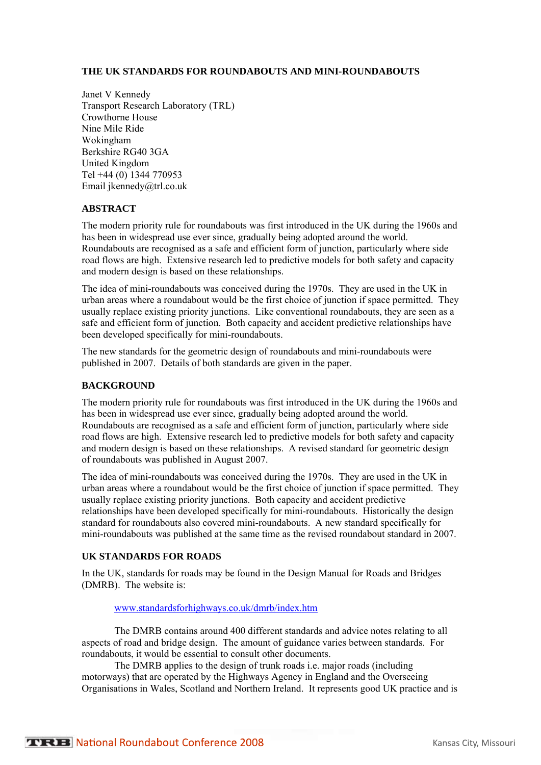#### **THE UK STANDARDS FOR ROUNDABOUTS AND MINI-ROUNDABOUTS**

Janet V Kennedy Transport Research Laboratory (TRL) Crowthorne House Nine Mile Ride Wokingham Berkshire RG40 3GA United Kingdom Tel +44 (0) 1344 770953 Email jkennedy@trl.co.uk

### **ABSTRACT**

The modern priority rule for roundabouts was first introduced in the UK during the 1960s and has been in widespread use ever since, gradually being adopted around the world. Roundabouts are recognised as a safe and efficient form of junction, particularly where side road flows are high. Extensive research led to predictive models for both safety and capacity and modern design is based on these relationships.

The idea of mini-roundabouts was conceived during the 1970s. They are used in the UK in urban areas where a roundabout would be the first choice of junction if space permitted. They usually replace existing priority junctions. Like conventional roundabouts, they are seen as a safe and efficient form of junction. Both capacity and accident predictive relationships have been developed specifically for mini-roundabouts.

The new standards for the geometric design of roundabouts and mini-roundabouts were published in 2007. Details of both standards are given in the paper.

#### **BACKGROUND**

The modern priority rule for roundabouts was first introduced in the UK during the 1960s and has been in widespread use ever since, gradually being adopted around the world. Roundabouts are recognised as a safe and efficient form of junction, particularly where side road flows are high. Extensive research led to predictive models for both safety and capacity and modern design is based on these relationships. A revised standard for geometric design of roundabouts was published in August 2007.

The idea of mini-roundabouts was conceived during the 1970s. They are used in the UK in urban areas where a roundabout would be the first choice of junction if space permitted. They usually replace existing priority junctions. Both capacity and accident predictive relationships have been developed specifically for mini-roundabouts. Historically the design standard for roundabouts also covered mini-roundabouts. A new standard specifically for mini-roundabouts was published at the same time as the revised roundabout standard in 2007.

#### **UK STANDARDS FOR ROADS**

In the UK, standards for roads may be found in the Design Manual for Roads and Bridges (DMRB). The website is:

[www.standardsforhighways.co.uk/dmrb/index.htm](http://www.standardsforhighways.co.uk/dmrb/index.htm)

The DMRB contains around 400 different standards and advice notes relating to all aspects of road and bridge design. The amount of guidance varies between standards. For roundabouts, it would be essential to consult other documents.

The DMRB applies to the design of trunk roads i.e. major roads (including motorways) that are operated by the Highways Agency in England and the Overseeing Organisations in Wales, Scotland and Northern Ireland. It represents good UK practice and is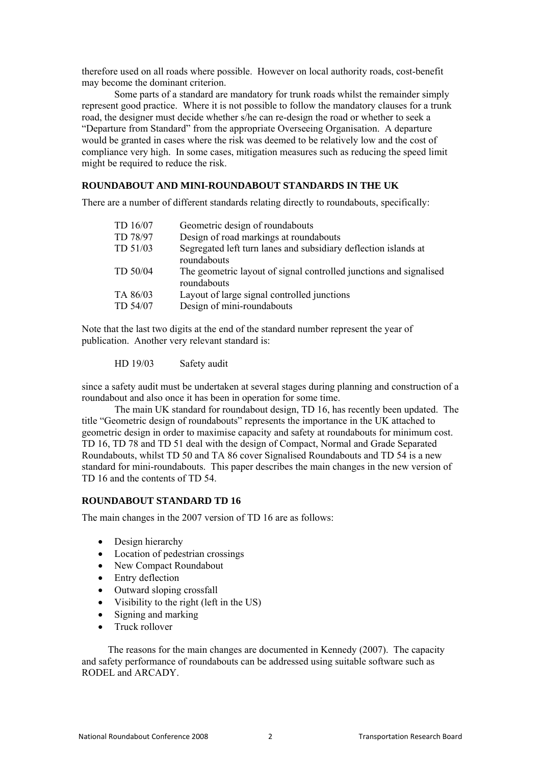therefore used on all roads where possible. However on local authority roads, cost-benefit may become the dominant criterion.

Some parts of a standard are mandatory for trunk roads whilst the remainder simply represent good practice. Where it is not possible to follow the mandatory clauses for a trunk road, the designer must decide whether s/he can re-design the road or whether to seek a "Departure from Standard" from the appropriate Overseeing Organisation. A departure would be granted in cases where the risk was deemed to be relatively low and the cost of compliance very high. In some cases, mitigation measures such as reducing the speed limit might be required to reduce the risk.

### **ROUNDABOUT AND MINI-ROUNDABOUT STANDARDS IN THE UK**

There are a number of different standards relating directly to roundabouts, specifically:

| TD 16/07 | Geometric design of roundabouts                                                   |
|----------|-----------------------------------------------------------------------------------|
| TD 78/97 | Design of road markings at roundabouts                                            |
| TD 51/03 | Segregated left turn lanes and subsidiary deflection islands at<br>roundabouts    |
| TD 50/04 | The geometric layout of signal controlled junctions and signalised<br>roundabouts |
| TA 86/03 | Layout of large signal controlled junctions                                       |
| TD 54/07 | Design of mini-roundabouts                                                        |
|          |                                                                                   |

Note that the last two digits at the end of the standard number represent the year of publication. Another very relevant standard is:

HD 19/03 Safety audit

since a safety audit must be undertaken at several stages during planning and construction of a roundabout and also once it has been in operation for some time.

The main UK standard for roundabout design, TD 16, has recently been updated. The title "Geometric design of roundabouts" represents the importance in the UK attached to geometric design in order to maximise capacity and safety at roundabouts for minimum cost. TD 16, TD 78 and TD 51 deal with the design of Compact, Normal and Grade Separated Roundabouts, whilst TD 50 and TA 86 cover Signalised Roundabouts and TD 54 is a new standard for mini-roundabouts. This paper describes the main changes in the new version of TD 16 and the contents of TD 54.

#### **ROUNDABOUT STANDARD TD 16**

The main changes in the 2007 version of TD 16 are as follows:

- Design hierarchy
- Location of pedestrian crossings
- New Compact Roundabout
- Entry deflection
- Outward sloping crossfall
- Visibility to the right (left in the US)
- Signing and marking
- Truck rollover

The reasons for the main changes are documented in Kennedy (2007). The capacity and safety performance of roundabouts can be addressed using suitable software such as RODEL and ARCADY.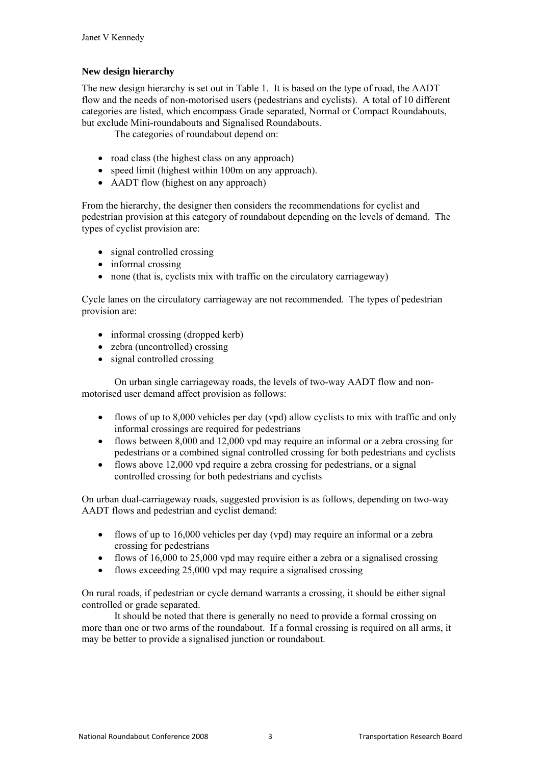### **New design hierarchy**

The new design hierarchy is set out in Table 1. It is based on the type of road, the AADT flow and the needs of non-motorised users (pedestrians and cyclists). A total of 10 different categories are listed, which encompass Grade separated, Normal or Compact Roundabouts, but exclude Mini-roundabouts and Signalised Roundabouts.

The categories of roundabout depend on:

- road class (the highest class on any approach)
- speed limit (highest within 100m on any approach).
- AADT flow (highest on any approach)

From the hierarchy, the designer then considers the recommendations for cyclist and pedestrian provision at this category of roundabout depending on the levels of demand. The types of cyclist provision are:

- signal controlled crossing
- informal crossing
- none (that is, cyclists mix with traffic on the circulatory carriageway)

Cycle lanes on the circulatory carriageway are not recommended. The types of pedestrian provision are:

- informal crossing (dropped kerb)
- zebra (uncontrolled) crossing
- signal controlled crossing

On urban single carriageway roads, the levels of two-way AADT flow and nonmotorised user demand affect provision as follows:

- flows of up to 8,000 vehicles per day (vpd) allow cyclists to mix with traffic and only informal crossings are required for pedestrians
- flows between 8,000 and 12,000 vpd may require an informal or a zebra crossing for pedestrians or a combined signal controlled crossing for both pedestrians and cyclists
- flows above 12,000 vpd require a zebra crossing for pedestrians, or a signal controlled crossing for both pedestrians and cyclists

On urban dual-carriageway roads, suggested provision is as follows, depending on two-way AADT flows and pedestrian and cyclist demand:

- flows of up to 16,000 vehicles per day (vpd) may require an informal or a zebra crossing for pedestrians
- flows of 16,000 to 25,000 ypd may require either a zebra or a signalised crossing
- flows exceeding 25,000 vpd may require a signalised crossing

On rural roads, if pedestrian or cycle demand warrants a crossing, it should be either signal controlled or grade separated.

It should be noted that there is generally no need to provide a formal crossing on more than one or two arms of the roundabout. If a formal crossing is required on all arms, it may be better to provide a signalised junction or roundabout.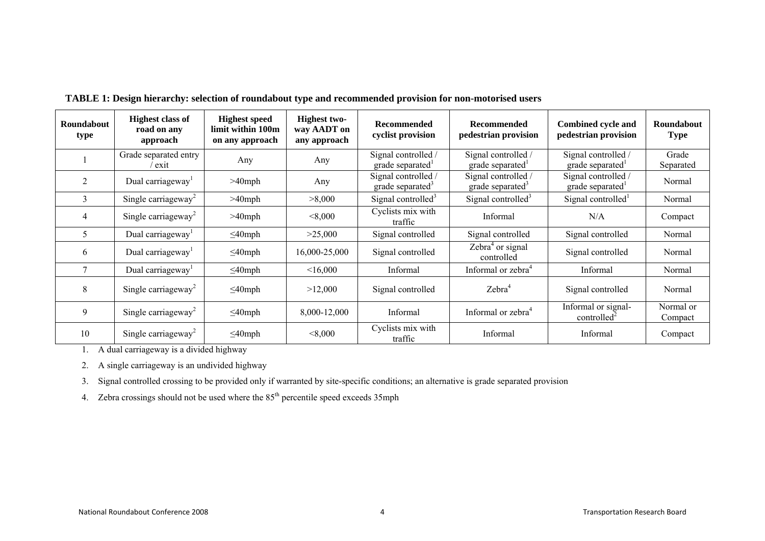| Roundabout<br>type | <b>Highest class of</b><br>road on any<br>approach                                                                                                                                     | <b>Highest speed</b><br>limit within 100m<br>on any approach | <b>Highest two-</b><br>way AADT on<br>any approach | <b>Recommended</b><br>cyclist provision             | <b>Recommended</b><br>pedestrian provision          | <b>Combined cycle and</b><br>pedestrian provision | Roundabout<br><b>Type</b> |
|--------------------|----------------------------------------------------------------------------------------------------------------------------------------------------------------------------------------|--------------------------------------------------------------|----------------------------------------------------|-----------------------------------------------------|-----------------------------------------------------|---------------------------------------------------|---------------------------|
|                    | Grade separated entry<br>exit                                                                                                                                                          | Any                                                          | Any                                                | Signal controlled /<br>grade separated              | Signal controlled /<br>grade separated <sup>1</sup> | Signal controlled /<br>grade separated            | Grade<br>Separated        |
| $\overline{2}$     | Dual carriageway <sup>1</sup>                                                                                                                                                          | $>40$ mph                                                    | Any                                                | Signal controlled /<br>grade separated <sup>3</sup> | Signal controlled /<br>grade separated <sup>3</sup> | Signal controlled /<br>grade separated            | Normal                    |
| 3                  | Single carriageway <sup>2</sup>                                                                                                                                                        | $>40$ mph                                                    | >8,000                                             | Signal controlled <sup>3</sup>                      | Signal controlled <sup>3</sup>                      | Signal controlled <sup>1</sup>                    | Normal                    |
| 4                  | Single carriageway <sup>2</sup>                                                                                                                                                        | $>40$ mph                                                    | < 8,000                                            | Cyclists mix with<br>traffic                        | Informal                                            | N/A                                               | Compact                   |
| 5                  | Dual carriageway <sup>1</sup>                                                                                                                                                          | $\leq$ 40mph                                                 | >25,000                                            | Signal controlled                                   | Signal controlled                                   | Signal controlled                                 | Normal                    |
| 6                  | Dual carriageway <sup>1</sup>                                                                                                                                                          | $\leq$ 40mph                                                 | 16,000-25,000                                      | Signal controlled                                   | Zebra <sup>4</sup> or signal<br>controlled          | Signal controlled                                 | Normal                    |
|                    | Dual carriageway <sup>1</sup>                                                                                                                                                          | $\leq$ 40mph                                                 | <16,000                                            | Informal                                            | Informal or zebra <sup>4</sup>                      | Informal                                          | Normal                    |
| 8                  | Single carriageway <sup>2</sup>                                                                                                                                                        | $\leq$ 40mph                                                 | >12,000                                            | Signal controlled                                   | Zebra <sup>4</sup>                                  | Signal controlled                                 | Normal                    |
| 9                  | Single carriageway <sup>2</sup>                                                                                                                                                        | $\leq$ 40mph                                                 | 8,000-12,000                                       | Informal                                            | Informal or zebra <sup>4</sup>                      | Informal or signal-<br>controlled <sup>2</sup>    | Normal or<br>Compact      |
| 10                 | Single carriageway <sup>2</sup><br>$\mathbf{A}$ and $\mathbf{A}$ are the set of $\mathbf{A}$ and $\mathbf{A}$ are the set of $\mathbf{A}$ and $\mathbf{A}$ are the set of $\mathbf{A}$ | $\leq$ 40mph                                                 | < 8,000                                            | Cyclists mix with<br>traffic                        | Informal                                            | Informal                                          | Compact                   |

**TABLE 1: Design hierarchy: selection of roundabout type and recommended provision for non-motorised users** 

1. A dual carriageway is a divided highway

2. A single carriageway is an undivided highway

3. Signal controlled crossing to be provided only if warranted by site-specific conditions; an alternative is grade separated provision

4. Zebra crossings should not be used where the  $85<sup>th</sup>$  percentile speed exceeds 35mph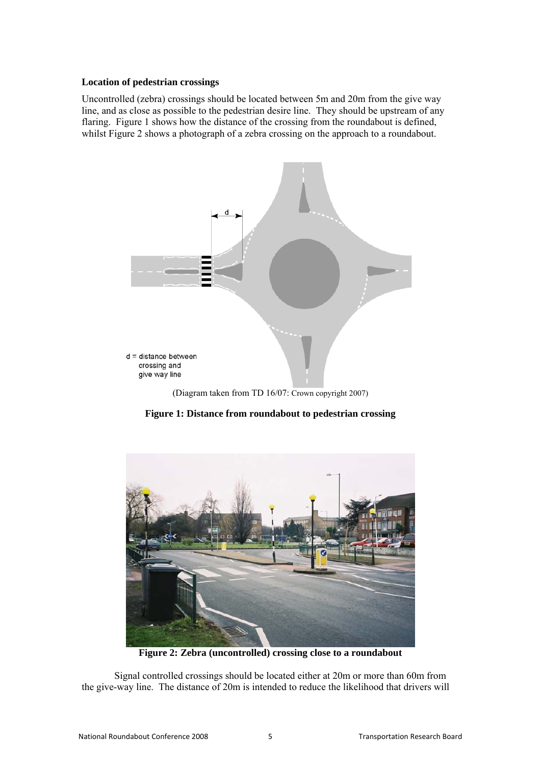#### **Location of pedestrian crossings**

Uncontrolled (zebra) crossings should be located between 5m and 20m from the give way line, and as close as possible to the pedestrian desire line. They should be upstream of any flaring. Figure 1 shows how the distance of the crossing from the roundabout is defined, whilst Figure 2 shows a photograph of a zebra crossing on the approach to a roundabout.



(Diagram taken from TD 16/07: Crown copyright 2007)

**Figure 1: Distance from roundabout to pedestrian crossing** 



**Figure 2: Zebra (uncontrolled) crossing close to a roundabout**

Signal controlled crossings should be located either at 20m or more than 60m from the give-way line. The distance of 20m is intended to reduce the likelihood that drivers will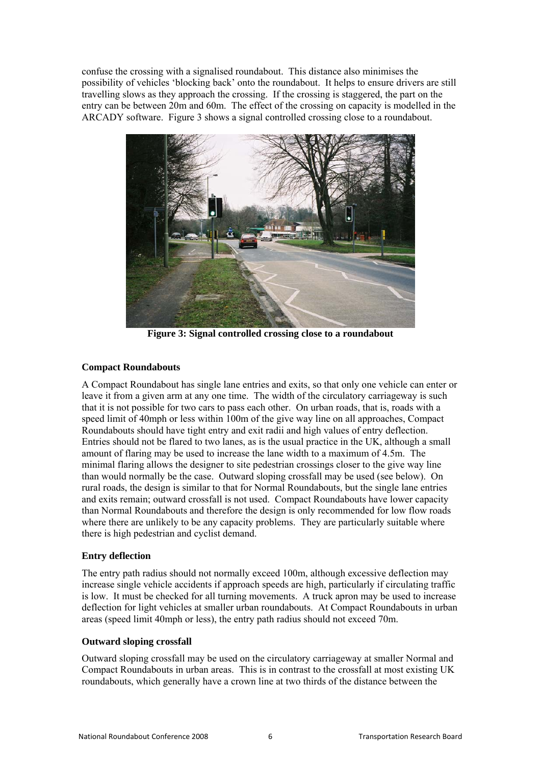confuse the crossing with a signalised roundabout. This distance also minimises the possibility of vehicles 'blocking back' onto the roundabout. It helps to ensure drivers are still travelling slows as they approach the crossing. If the crossing is staggered, the part on the entry can be between 20m and 60m. The effect of the crossing on capacity is modelled in the ARCADY software. Figure 3 shows a signal controlled crossing close to a roundabout.



**Figure 3: Signal controlled crossing close to a roundabout** 

#### **Compact Roundabouts**

A Compact Roundabout has single lane entries and exits, so that only one vehicle can enter or leave it from a given arm at any one time. The width of the circulatory carriageway is such that it is not possible for two cars to pass each other. On urban roads, that is, roads with a speed limit of 40mph or less within 100m of the give way line on all approaches, Compact Roundabouts should have tight entry and exit radii and high values of entry deflection. Entries should not be flared to two lanes, as is the usual practice in the UK, although a small amount of flaring may be used to increase the lane width to a maximum of 4.5m. The minimal flaring allows the designer to site pedestrian crossings closer to the give way line than would normally be the case. Outward sloping crossfall may be used (see below). On rural roads, the design is similar to that for Normal Roundabouts, but the single lane entries and exits remain; outward crossfall is not used. Compact Roundabouts have lower capacity than Normal Roundabouts and therefore the design is only recommended for low flow roads where there are unlikely to be any capacity problems. They are particularly suitable where there is high pedestrian and cyclist demand.

### **Entry deflection**

The entry path radius should not normally exceed 100m, although excessive deflection may increase single vehicle accidents if approach speeds are high, particularly if circulating traffic is low. It must be checked for all turning movements. A truck apron may be used to increase deflection for light vehicles at smaller urban roundabouts. At Compact Roundabouts in urban areas (speed limit 40mph or less), the entry path radius should not exceed 70m.

#### **Outward sloping crossfall**

Outward sloping crossfall may be used on the circulatory carriageway at smaller Normal and Compact Roundabouts in urban areas. This is in contrast to the crossfall at most existing UK roundabouts, which generally have a crown line at two thirds of the distance between the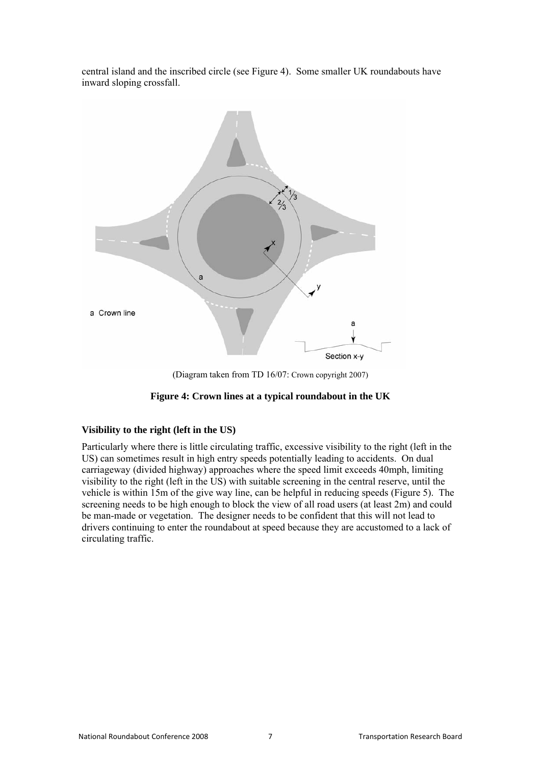central island and the inscribed circle (see Figure 4). Some smaller UK roundabouts have inward sloping crossfall.



(Diagram taken from TD 16/07: Crown copyright 2007)

#### **Figure 4: Crown lines at a typical roundabout in the UK**

#### **Visibility to the right (left in the US)**

Particularly where there is little circulating traffic, excessive visibility to the right (left in the US) can sometimes result in high entry speeds potentially leading to accidents. On dual carriageway (divided highway) approaches where the speed limit exceeds 40mph, limiting visibility to the right (left in the US) with suitable screening in the central reserve, until the vehicle is within 15m of the give way line, can be helpful in reducing speeds (Figure 5). The screening needs to be high enough to block the view of all road users (at least 2m) and could be man-made or vegetation. The designer needs to be confident that this will not lead to drivers continuing to enter the roundabout at speed because they are accustomed to a lack of circulating traffic.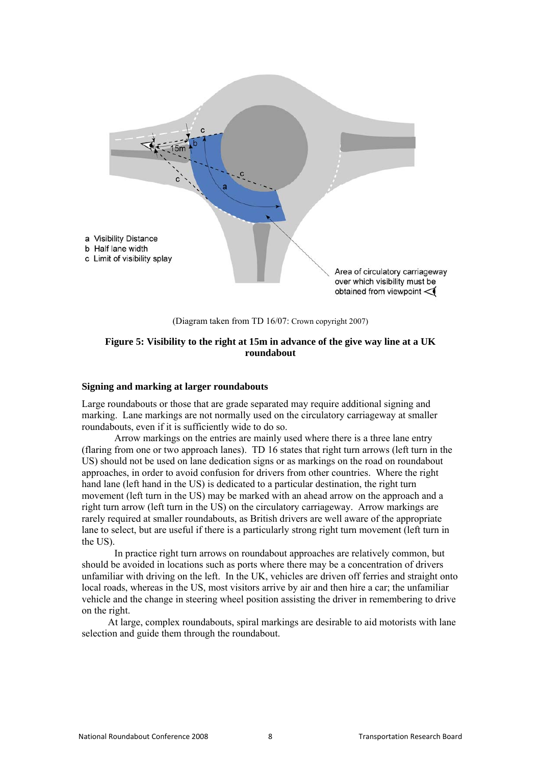

(Diagram taken from TD 16/07: Crown copyright 2007)

#### **Figure 5: Visibility to the right at 15m in advance of the give way line at a UK roundabout**

#### **Signing and marking at larger roundabouts**

Large roundabouts or those that are grade separated may require additional signing and marking. Lane markings are not normally used on the circulatory carriageway at smaller roundabouts, even if it is sufficiently wide to do so.

Arrow markings on the entries are mainly used where there is a three lane entry (flaring from one or two approach lanes). TD 16 states that right turn arrows (left turn in the US) should not be used on lane dedication signs or as markings on the road on roundabout approaches, in order to avoid confusion for drivers from other countries. Where the right hand lane (left hand in the US) is dedicated to a particular destination, the right turn movement (left turn in the US) may be marked with an ahead arrow on the approach and a right turn arrow (left turn in the US) on the circulatory carriageway. Arrow markings are rarely required at smaller roundabouts, as British drivers are well aware of the appropriate lane to select, but are useful if there is a particularly strong right turn movement (left turn in the US).

In practice right turn arrows on roundabout approaches are relatively common, but should be avoided in locations such as ports where there may be a concentration of drivers unfamiliar with driving on the left. In the UK, vehicles are driven off ferries and straight onto local roads, whereas in the US, most visitors arrive by air and then hire a car; the unfamiliar vehicle and the change in steering wheel position assisting the driver in remembering to drive on the right.

At large, complex roundabouts, spiral markings are desirable to aid motorists with lane selection and guide them through the roundabout.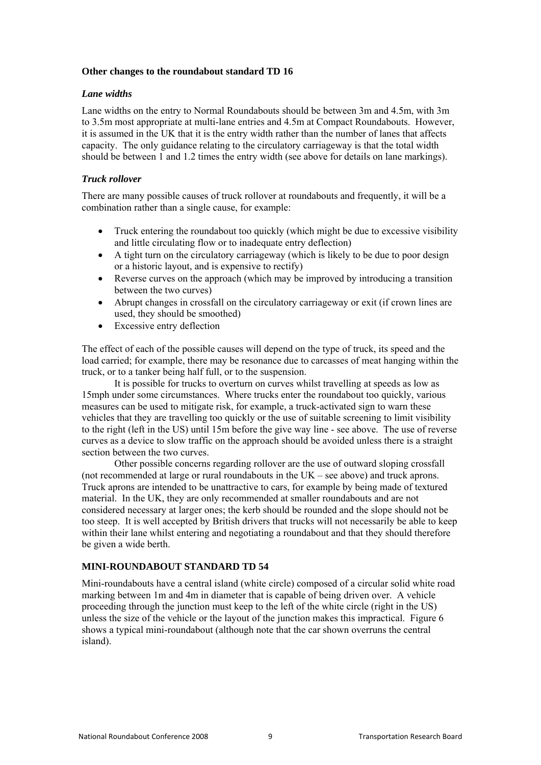#### **Other changes to the roundabout standard TD 16**

#### *Lane widths*

Lane widths on the entry to Normal Roundabouts should be between 3m and 4.5m, with 3m to 3.5m most appropriate at multi-lane entries and 4.5m at Compact Roundabouts. However, it is assumed in the UK that it is the entry width rather than the number of lanes that affects capacity. The only guidance relating to the circulatory carriageway is that the total width should be between 1 and 1.2 times the entry width (see above for details on lane markings).

### *Truck rollover*

There are many possible causes of truck rollover at roundabouts and frequently, it will be a combination rather than a single cause, for example:

- Truck entering the roundabout too quickly (which might be due to excessive visibility and little circulating flow or to inadequate entry deflection)
- A tight turn on the circulatory carriageway (which is likely to be due to poor design or a historic layout, and is expensive to rectify)
- Reverse curves on the approach (which may be improved by introducing a transition between the two curves)
- Abrupt changes in crossfall on the circulatory carriageway or exit (if crown lines are used, they should be smoothed)
- Excessive entry deflection

The effect of each of the possible causes will depend on the type of truck, its speed and the load carried; for example, there may be resonance due to carcasses of meat hanging within the truck, or to a tanker being half full, or to the suspension.

It is possible for trucks to overturn on curves whilst travelling at speeds as low as 15mph under some circumstances. Where trucks enter the roundabout too quickly, various measures can be used to mitigate risk, for example, a truck-activated sign to warn these vehicles that they are travelling too quickly or the use of suitable screening to limit visibility to the right (left in the US) until 15m before the give way line - see above. The use of reverse curves as a device to slow traffic on the approach should be avoided unless there is a straight section between the two curves.

Other possible concerns regarding rollover are the use of outward sloping crossfall (not recommended at large or rural roundabouts in the UK – see above) and truck aprons. Truck aprons are intended to be unattractive to cars, for example by being made of textured material. In the UK, they are only recommended at smaller roundabouts and are not considered necessary at larger ones; the kerb should be rounded and the slope should not be too steep. It is well accepted by British drivers that trucks will not necessarily be able to keep within their lane whilst entering and negotiating a roundabout and that they should therefore be given a wide berth.

### **MINI-ROUNDABOUT STANDARD TD 54**

Mini-roundabouts have a central island (white circle) composed of a circular solid white road marking between 1m and 4m in diameter that is capable of being driven over. A vehicle proceeding through the junction must keep to the left of the white circle (right in the US) unless the size of the vehicle or the layout of the junction makes this impractical. Figure 6 shows a typical mini-roundabout (although note that the car shown overruns the central island).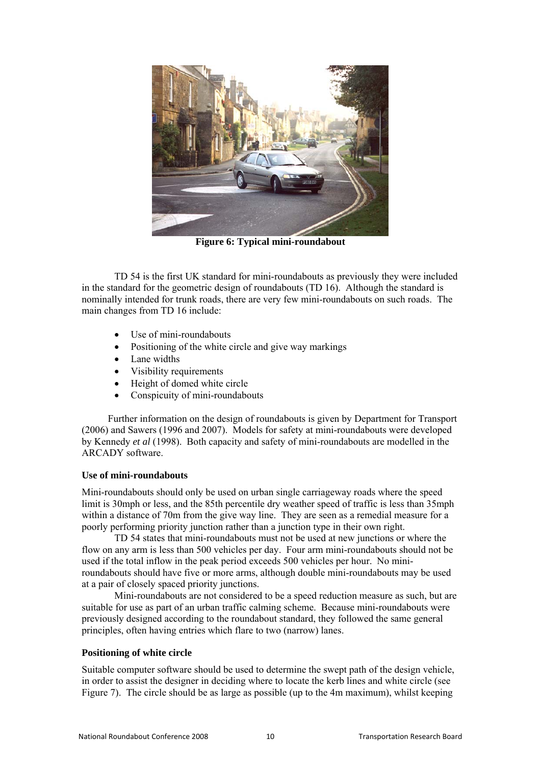

**Figure 6: Typical mini-roundabout**

TD 54 is the first UK standard for mini-roundabouts as previously they were included in the standard for the geometric design of roundabouts (TD 16). Although the standard is nominally intended for trunk roads, there are very few mini-roundabouts on such roads. The main changes from TD 16 include:

- Use of mini-roundabouts
- Positioning of the white circle and give way markings
- Lane widths
- Visibility requirements
- Height of domed white circle
- Conspicuity of mini-roundabouts

Further information on the design of roundabouts is given by Department for Transport (2006) and Sawers (1996 and 2007). Models for safety at mini-roundabouts were developed by Kennedy *et al* (1998). Both capacity and safety of mini-roundabouts are modelled in the ARCADY software.

#### **Use of mini-roundabouts**

Mini-roundabouts should only be used on urban single carriageway roads where the speed limit is 30mph or less, and the 85th percentile dry weather speed of traffic is less than 35mph within a distance of 70m from the give way line. They are seen as a remedial measure for a poorly performing priority junction rather than a junction type in their own right.

TD 54 states that mini-roundabouts must not be used at new junctions or where the flow on any arm is less than 500 vehicles per day. Four arm mini-roundabouts should not be used if the total inflow in the peak period exceeds 500 vehicles per hour. No miniroundabouts should have five or more arms, although double mini-roundabouts may be used at a pair of closely spaced priority junctions.

Mini-roundabouts are not considered to be a speed reduction measure as such, but are suitable for use as part of an urban traffic calming scheme. Because mini-roundabouts were previously designed according to the roundabout standard, they followed the same general principles, often having entries which flare to two (narrow) lanes.

#### **Positioning of white circle**

Suitable computer software should be used to determine the swept path of the design vehicle, in order to assist the designer in deciding where to locate the kerb lines and white circle (see Figure 7). The circle should be as large as possible (up to the 4m maximum), whilst keeping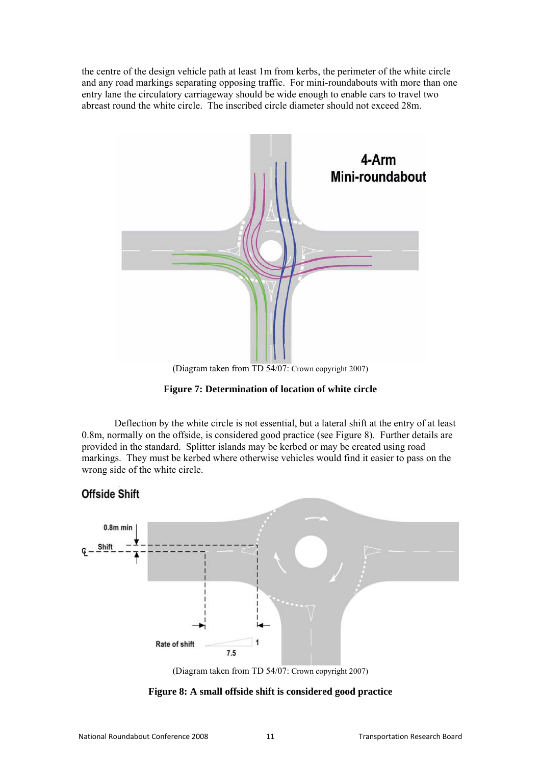the centre of the design vehicle path at least 1m from kerbs, the perimeter of the white circle and any road markings separating opposing traffic. For mini-roundabouts with more than one entry lane the circulatory carriageway should be wide enough to enable cars to travel two abreast round the white circle. The inscribed circle diameter should not exceed 28m.



(Diagram taken from TD 54/07: Crown copyright 2007)

**Figure 7: Determination of location of white circle** 

Deflection by the white circle is not essential, but a lateral shift at the entry of at least 0.8m, normally on the offside, is considered good practice (see Figure 8). Further details are provided in the standard. Splitter islands may be kerbed or may be created using road markings. They must be kerbed where otherwise vehicles would find it easier to pass on the wrong side of the white circle.

# **Offside Shift**



(Diagram taken from TD 54/07: Crown copyright 2007)

**Figure 8: A small offside shift is considered good practice**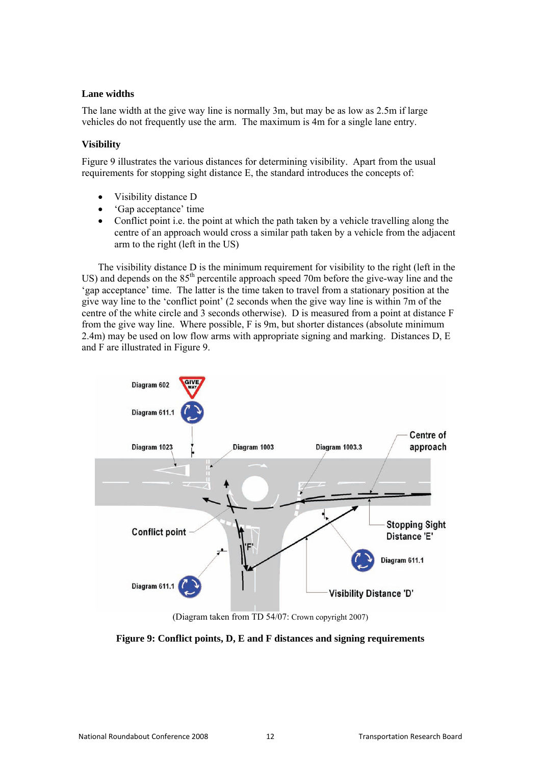#### **Lane widths**

The lane width at the give way line is normally 3m, but may be as low as 2.5m if large vehicles do not frequently use the arm. The maximum is 4m for a single lane entry.

### **Visibility**

Figure 9 illustrates the various distances for determining visibility. Apart from the usual requirements for stopping sight distance E, the standard introduces the concepts of:

- Visibility distance D
- 'Gap acceptance' time
- Conflict point i.e. the point at which the path taken by a vehicle travelling along the centre of an approach would cross a similar path taken by a vehicle from the adjacent arm to the right (left in the US)

The visibility distance D is the minimum requirement for visibility to the right (left in the US) and depends on the  $85<sup>th</sup>$  percentile approach speed 70m before the give-way line and the 'gap acceptance' time. The latter is the time taken to travel from a stationary position at the give way line to the 'conflict point' (2 seconds when the give way line is within 7m of the centre of the white circle and 3 seconds otherwise). D is measured from a point at distance F from the give way line. Where possible, F is 9m, but shorter distances (absolute minimum 2.4m) may be used on low flow arms with appropriate signing and marking. Distances D, E and F are illustrated in Figure 9.



(Diagram taken from TD 54/07: Crown copyright 2007)